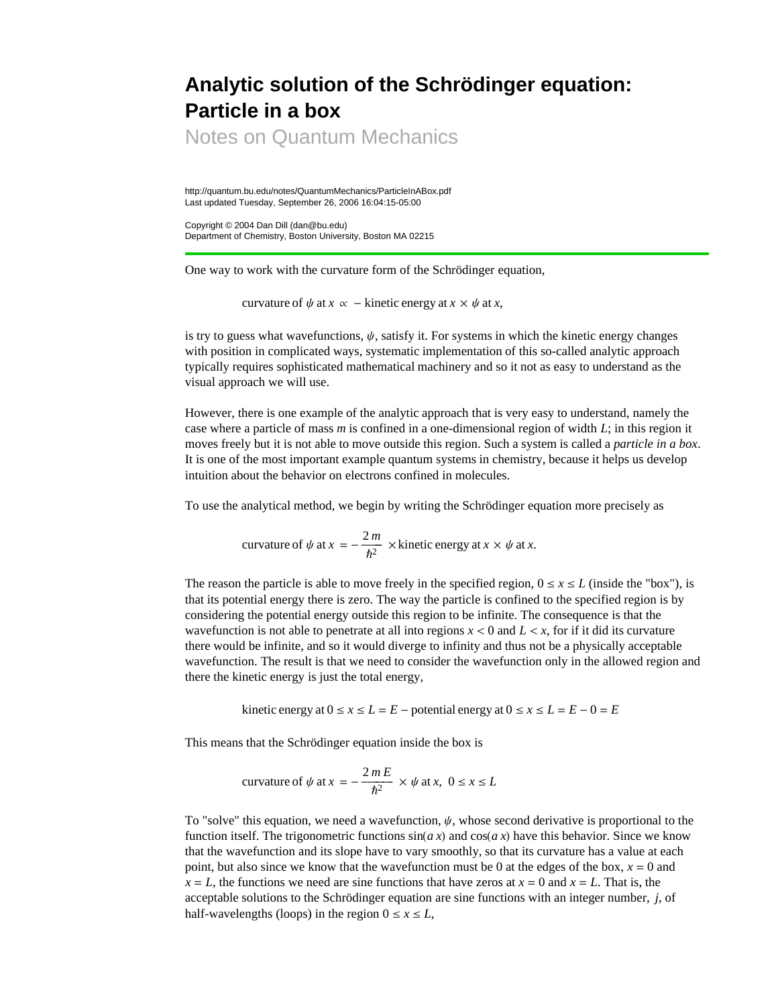## **Analytic solution of the Schrödinger equation: Particle in a box**

Notes on Quantum Mechanics

http://quantum.bu.edu/notes/QuantumMechanics/ParticleInABox.pdf Last updated Tuesday, September 26, 2006 16:04:15-05:00

Copyright © 2004 Dan Dill (dan@bu.edu) Department of Chemistry, Boston University, Boston MA 02215

One way to work with the curvature form of the Schrödinger equation,

curvature of  $\psi$  at  $x \propto -$  kinetic energy at  $x \times \psi$  at  $x$ ,

is try to guess what wavefunctions,  $\psi$ , satisfy it. For systems in which the kinetic energy changes with position in complicated ways, systematic implementation of this so-called analytic approach typically requires sophisticated mathematical machinery and so it not as easy to understand as the visual approach we will use.

However, there is one example of the analytic approach that is very easy to understand, namely the case where a particle of mass *m* is confined in a one-dimensional region of width *L*; in this region it moves freely but it is not able to move outside this region. Such a system is called a *particle in a box*. It is one of the most important example quantum systems in chemistry, because it helps us develop intuition about the behavior on electrons confined in molecules.

To use the analytical method, we begin by writing the Schrödinger equation more precisely as

curvature of 
$$
\psi
$$
 at  $x = -\frac{2m}{\hbar^2}$  × kinetic energy at  $x \times \psi$  at x.

The reason the particle is able to move freely in the specified region,  $0 \le x \le L$  (inside the "box"), is that its potential energy there is zero. The way the particle is confined to the specified region is by considering the potential energy outside this region to be infinite. The consequence is that the wavefunction is not able to penetrate at all into regions  $x < 0$  and  $L < x$ , for if it did its curvature there would be infinite, and so it would diverge to infinity and thus not be a physically acceptable wavefunction. The result is that we need to consider the wavefunction only in the allowed region and there the kinetic energy is just the total energy,

kinetic energy at  $0 \le x \le L = E$  – potential energy at  $0 \le x \le L = E - 0 = E$ 

This means that the Schrödinger equation inside the box is

curvature of 
$$
\psi
$$
 at  $x = -\frac{2mE}{\hbar^2} \times \psi$  at  $x, 0 \le x \le L$ 

To "solve" this equation, we need a wavefunction,  $\psi$ , whose second derivative is proportional to the function itself. The trigonometric functions  $sin(a x)$  and  $cos(a x)$  have this behavior. Since we know that the wavefunction and its slope have to vary smoothly, so that its curvature has a value at each point, but also since we know that the wavefunction must be 0 at the edges of the box,  $x = 0$  and  $x = L$ , the functions we need are sine functions that have zeros at  $x = 0$  and  $x = L$ . That is, the acceptable solutions to the Schrödinger equation are sine functions with an integer number, *j*, of half-wavelengths (loops) in the region  $0 \le x \le L$ ,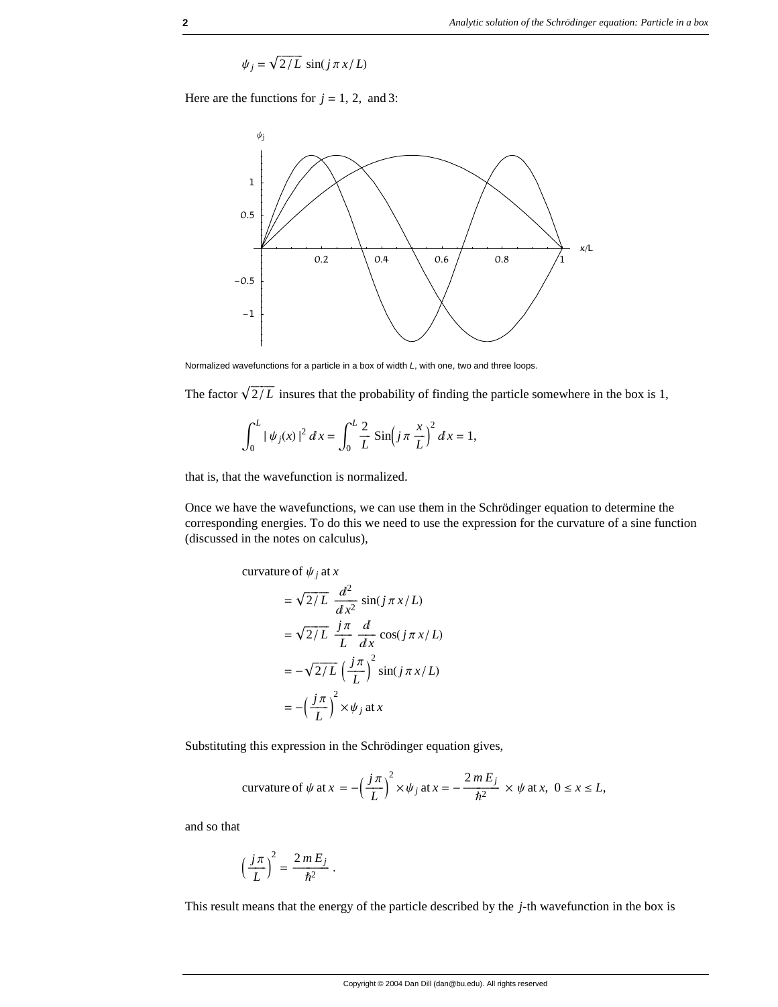$$
\psi_j = \sqrt{2/L} \, \sin(j \pi x/L)
$$

Here are the functions for  $j = 1, 2,$  and 3:



Normalized wavefunctions for a particle in a box of width *L*, with one, two and three loops.

The factor  $\sqrt{2/L}$  insures that the probability of finding the particle somewhere in the box is 1,

$$
\int_0^L |\psi_j(x)|^2 dx = \int_0^L \frac{2}{L} \sin\left(j\pi \frac{x}{L}\right)^2 dx = 1,
$$

that is, that the wavefunction is normalized.

Once we have the wavefunctions, we can use them in the Schrödinger equation to determine the corresponding energies. To do this we need to use the expression for the curvature of a sine function (discussed in the notes on calculus),

curvature of 
$$
\psi_j
$$
 at x

$$
= \sqrt{2/L} \frac{d^2}{dx^2} \sin(j \pi x/L)
$$

$$
= \sqrt{2/L} \frac{j\pi}{L} \frac{d}{dx} \cos(j \pi x/L)
$$

$$
= -\sqrt{2/L} \left(\frac{j\pi}{L}\right)^2 \sin(j \pi x/L)
$$

$$
= -\left(\frac{j\pi}{L}\right)^2 \times \psi_j \text{ at } x
$$

 $\overline{z}$ 

Substituting this expression in the Schrödinger equation gives,

curvature of 
$$
\psi
$$
 at  $x = -\left(\frac{j\pi}{L}\right)^2 \times \psi_j$  at  $x = -\frac{2mE_j}{\hbar^2} \times \psi$  at x,  $0 \le x \le L$ ,

and so that

$$
\left(\frac{j\pi}{L}\right)^2 = \frac{2\,m\,E_j}{\hbar^2} \; .
$$

This result means that the energy of the particle described by the *j*-th wavefunction in the box is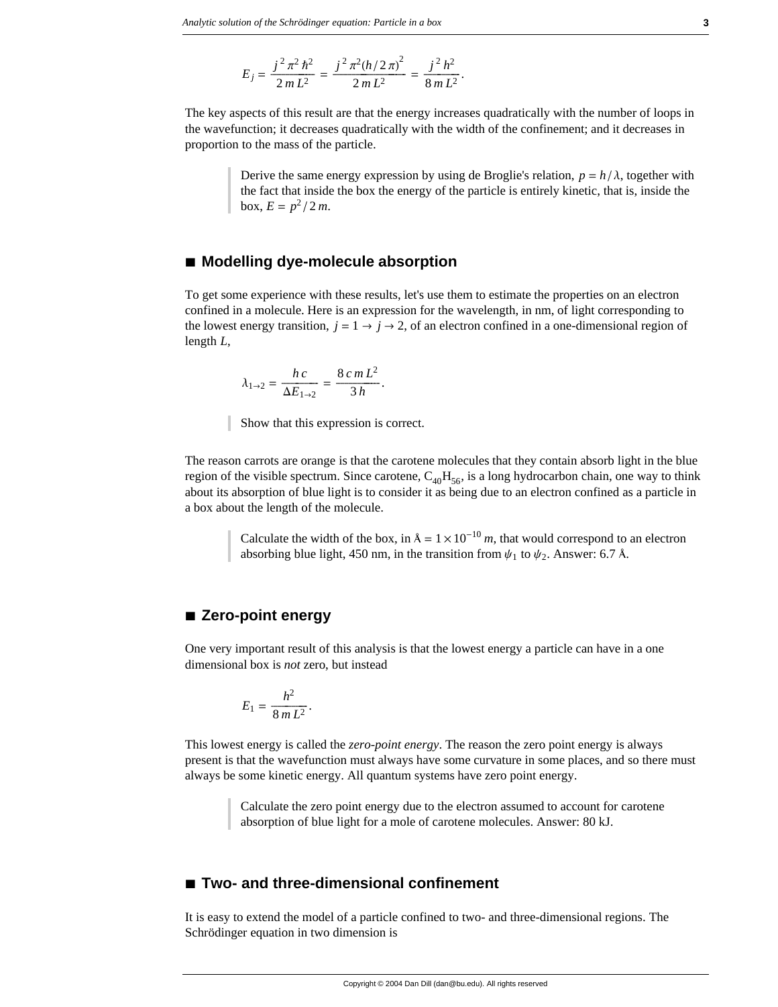$$
E_j = \frac{j^2 \pi^2 \hbar^2}{2m L^2} = \frac{j^2 \pi^2 (h/2 \pi)^2}{2m L^2} = \frac{j^2 h^2}{8m L^2}.
$$

The key aspects of this result are that the energy increases quadratically with the number of loops in the wavefunction; it decreases quadratically with the width of the confinement; and it decreases in proportion to the mass of the particle.

Derive the same energy expression by using de Broglie's relation,  $p = h/\lambda$ , together with the fact that inside the box the energy of the particle is entirely kinetic, that is, inside the  $b$ ox,  $E = p^2 / 2 m$ .

## **à Modelling dye-molecule absorption**

To get some experience with these results, let's use them to estimate the properties on an electron confined in a molecule. Here is an expression for the wavelength, in nm, of light corresponding to the lowest energy transition,  $j = 1 \rightarrow j \rightarrow 2$ , of an electron confined in a one-dimensional region of length *L*,

$$
\lambda_{1\to 2} = \frac{hc}{\Delta E_{1\to 2}} = \frac{8\,c\,m\,L^2}{3\,h}.
$$

Show that this expression is correct.

The reason carrots are orange is that the carotene molecules that they contain absorb light in the blue region of the visible spectrum. Since carotene,  $C_{40}H_{56}$ , is a long hydrocarbon chain, one way to think about its absorption of blue light is to consider it as being due to an electron confined as a particle in a box about the length of the molecule.

> Calculate the width of the box, in  $A = 1 \times 10^{-10}$  *m*, that would correspond to an electron absorbing blue light, 450 nm, in the transition from  $\psi_1$  to  $\psi_2$ . Answer: 6.7 Å.

## **à Zero-point energy**

One very important result of this analysis is that the lowest energy a particle can have in a one dimensional box is *not* zero, but instead

$$
E_1=\frac{h^2}{8\,m\,L^2}.
$$

This lowest energy is called the *zero-point energy*. The reason the zero point energy is always present is that the wavefunction must always have some curvature in some places, and so there must always be some kinetic energy. All quantum systems have zero point energy.

> Calculate the zero point energy due to the electron assumed to account for carotene absorption of blue light for a mole of carotene molecules. Answer: 80 kJ.

## ■ **Two- and three-dimensional confinement**

It is easy to extend the model of a particle confined to two- and three-dimensional regions. The Schrödinger equation in two dimension is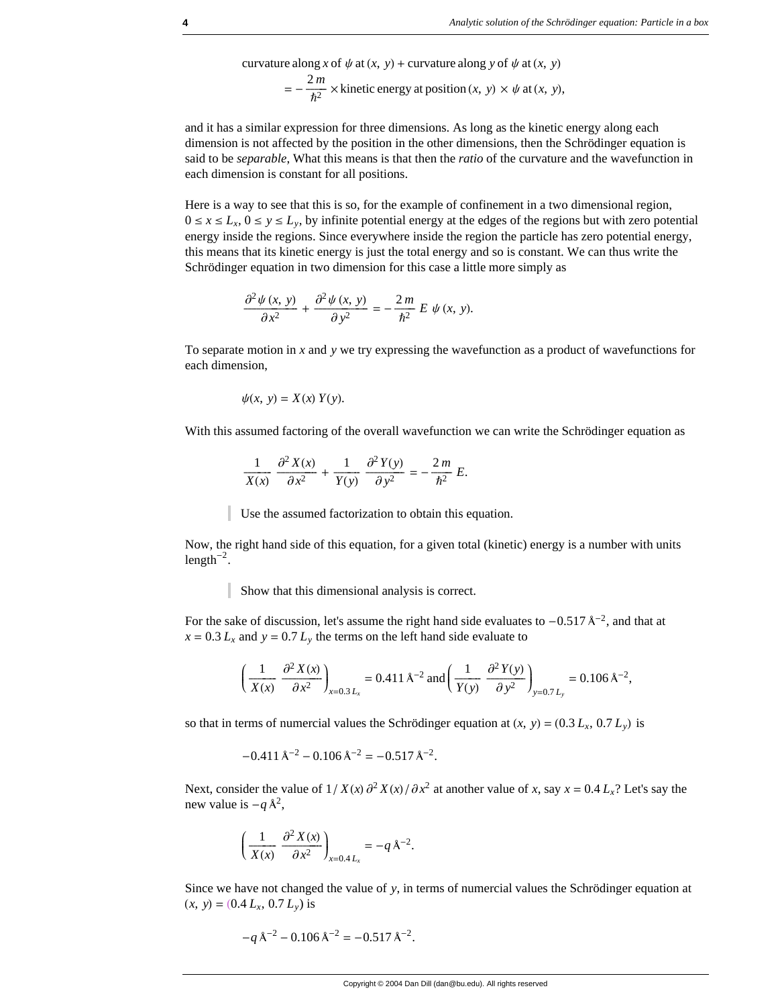curvature along x of 
$$
\psi
$$
 at  $(x, y)$  + curvature along y of  $\psi$  at  $(x, y)$   
=  $-\frac{2m}{\hbar^2}$  × kinetic energy at position  $(x, y) \times \psi$  at  $(x, y)$ ,

and it has a similar expression for three dimensions. As long as the kinetic energy along each dimension is not affected by the position in the other dimensions, then the Schrödinger equation is said to be *separable*, What this means is that then the *ratio* of the curvature and the wavefunction in each dimension is constant for all positions.

Here is a way to see that this is so, for the example of confinement in a two dimensional region,  $0 \le x \le L_x$ ,  $0 \le y \le L_y$ , by infinite potential energy at the edges of the regions but with zero potential energy inside the regions. Since everywhere inside the region the particle has zero potential energy, this means that its kinetic energy is just the total energy and so is constant. We can thus write the Schrödinger equation in two dimension for this case a little more simply as

$$
\frac{\partial^2 \psi(x, y)}{\partial x^2} + \frac{\partial^2 \psi(x, y)}{\partial y^2} = -\frac{2m}{\hbar^2} E \psi(x, y).
$$

To separate motion in *x* and *y* we try expressing the wavefunction as a product of wavefunctions for each dimension,

$$
\psi(x, y) = X(x) Y(y).
$$

With this assumed factoring of the overall wavefunction we can write the Schrödinger equation as

$$
\frac{1}{X(x)}\frac{\partial^2 X(x)}{\partial x^2} + \frac{1}{Y(y)}\frac{\partial^2 Y(y)}{\partial y^2} = -\frac{2m}{\hbar^2}E.
$$

Use the assumed factorization to obtain this equation.

Now, the right hand side of this equation, for a given total (kinetic) energy is a number with units length<sup>-2</sup>.

Show that this dimensional analysis is correct.

For the sake of discussion, let's assume the right hand side evaluates to  $-0.517 \text{ Å}^{-2}$ , and that at  $x = 0.3 L_x$  and  $y = 0.7 L_y$  the terms on the left hand side evaluate to

$$
\left(\frac{1}{X(x)}\frac{\partial^2 X(x)}{\partial x^2}\right)_{x=0.3\,L_x} = 0.411\,\mathrm{A}^{-2}\,\mathrm{and}\left(\frac{1}{Y(y)}\frac{\partial^2 Y(y)}{\partial y^2}\right)_{y=0.7\,L_y} = 0.106\,\mathrm{A}^{-2},
$$

so that in terms of numercial values the Schrödinger equation at  $(x, y) = (0.3 L_x, 0.7 L_y)$  is

$$
-0.411 \,\mathrm{A}^{-2} - 0.106 \,\mathrm{A}^{-2} = -0.517 \,\mathrm{A}^{-2}.
$$

Next, consider the value of  $1/X(x)\partial^2 X(x)/\partial x^2$  at another value of *x*, say  $x = 0.4 L_x$ ? Let's say the new value is  $-q \lambda^2$ ,

$$
\left(\frac{1}{X(x)}\frac{\partial^2 X(x)}{\partial x^2}\right)_{x=0,4L_x} = -q\,\mathrm{A}^{-2}.
$$

Since we have not changed the value of *y*, in terms of numercial values the Schrödinger equation at  $(x, y) = (0.4 L_x, 0.7 L_y)$  is

$$
-q\,\mathrm{\AA}^{-2} - 0.106\,\mathrm{\AA}^{-2} = -0.517\,\mathrm{\AA}^{-2}.
$$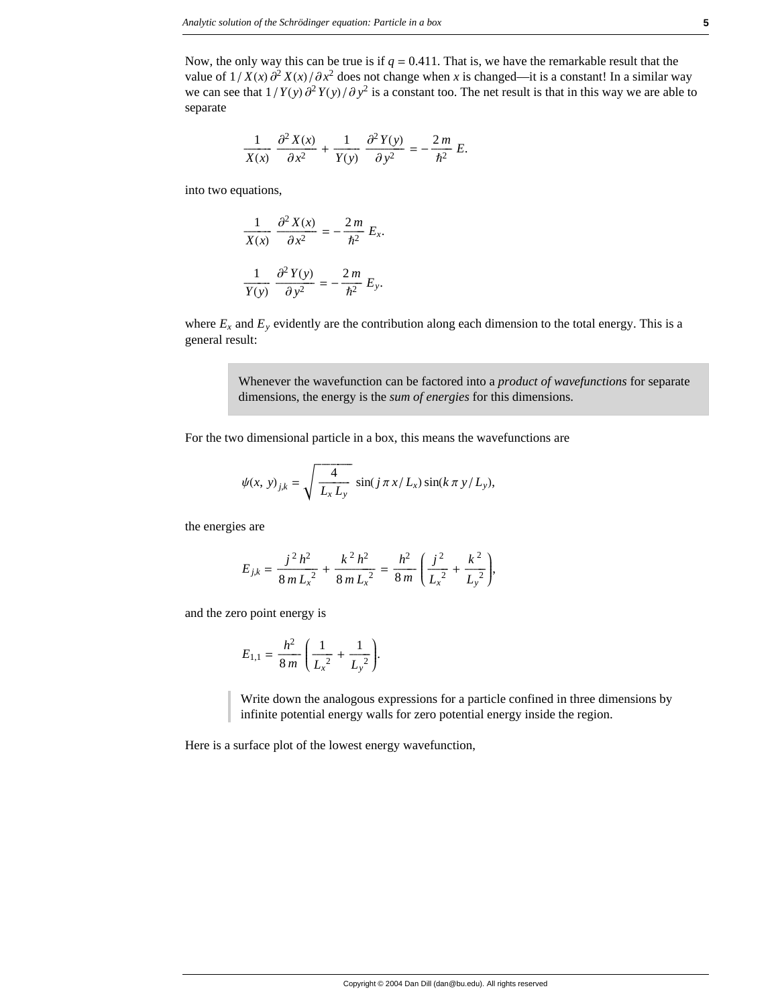Now, the only way this can be true is if  $q = 0.411$ . That is, we have the remarkable result that the value of  $1/X(x)\partial^2 X(x)/\partial x^2$  does not change when *x* is changed—it is a constant! In a similar way we can see that  $1/Y(y)\partial^2 Y(y)/\partial y^2$  is a constant too. The net result is that in this way we are able to separate

$$
\frac{1}{X(x)}\frac{\partial^2 X(x)}{\partial x^2} + \frac{1}{Y(y)}\frac{\partial^2 Y(y)}{\partial y^2} = -\frac{2m}{\hbar^2}E.
$$

into two equations,

$$
\frac{1}{X(x)} \frac{\partial^2 X(x)}{\partial x^2} = -\frac{2m}{\hbar^2} E_x.
$$

$$
\frac{1}{Y(y)} \frac{\partial^2 Y(y)}{\partial y^2} = -\frac{2m}{\hbar^2} E_y.
$$

where  $E_x$  and  $E_y$  evidently are the contribution along each dimension to the total energy. This is a general result:

> Whenever the wavefunction can be factored into a *product of wavefunctions* for separate dimensions, the energy is the *sum of energies* for this dimensions.

For the two dimensional particle in a box, this means the wavefunctions are

$$
\psi(x, y)_{j,k} = \sqrt{\frac{4}{L_x L_y}} \sin(j \pi x / L_x) \sin(k \pi y / L_y),
$$

the energies are

$$
E_{j,k} = \frac{j^2 h^2}{8m L_x^2} + \frac{k^2 h^2}{8m L_x^2} = \frac{h^2}{8m} \left( \frac{j^2}{L_x^2} + \frac{k^2}{L_y^2} \right),
$$

and the zero point energy is

$$
E_{1,1} = \frac{h^2}{8 m} \left( \frac{1}{L_x^2} + \frac{1}{L_y^2} \right).
$$

Write down the analogous expressions for a particle confined in three dimensions by infinite potential energy walls for zero potential energy inside the region.

Here is a surface plot of the lowest energy wavefunction,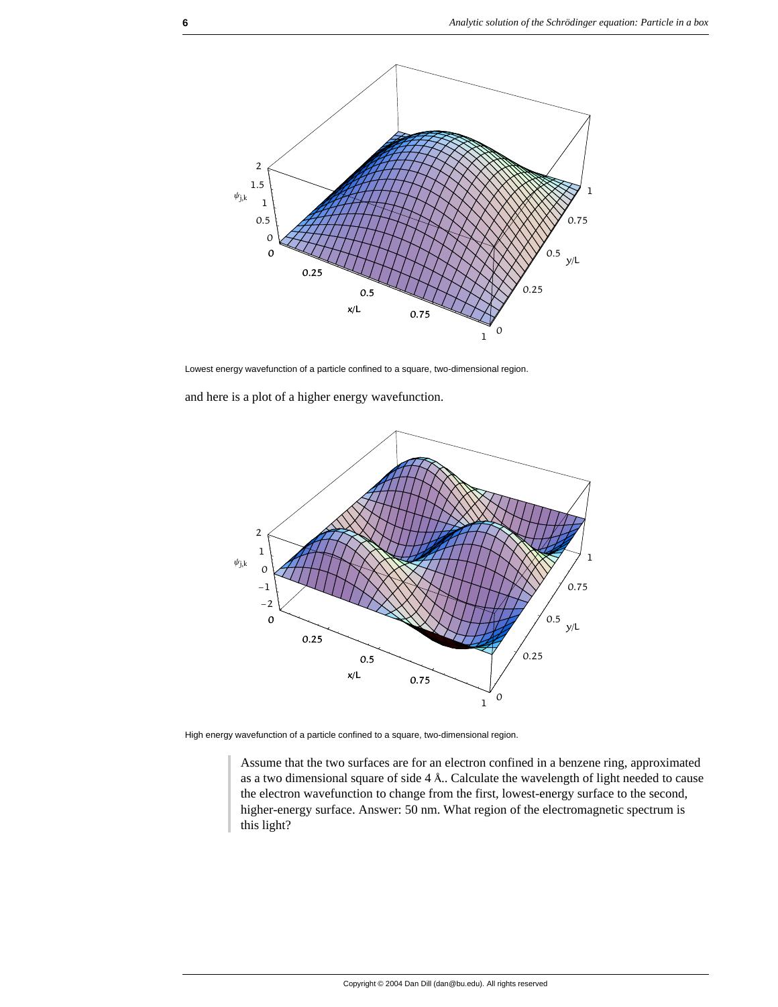

Lowest energy wavefunction of a particle confined to a square, two-dimensional region.

and here is a plot of a higher energy wavefunction.



High energy wavefunction of a particle confined to a square, two-dimensional region.

Assume that the two surfaces are for an electron confined in a benzene ring, approximated as a two dimensional square of side 4 Å.. Calculate the wavelength of light needed to cause the electron wavefunction to change from the first, lowest-energy surface to the second, higher-energy surface. Answer: 50 nm. What region of the electromagnetic spectrum is this light?